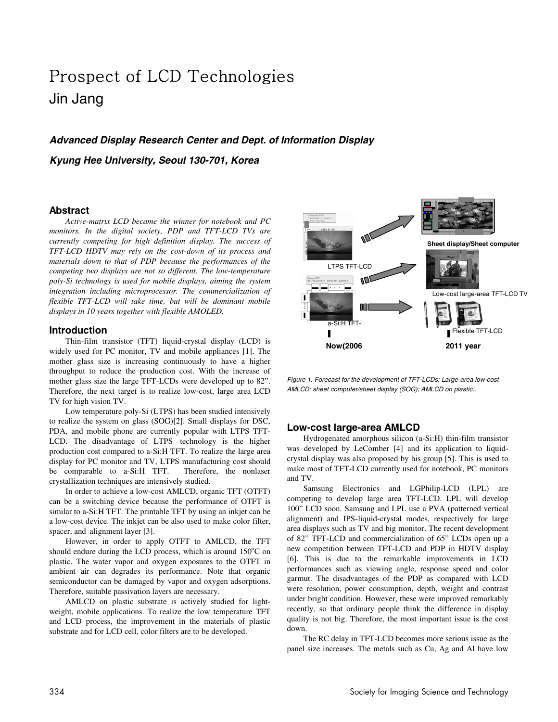# Prospect of LCD Technologies Jin Jang

# **Advanced Display Research Center and Dept. of Information Display Kyung Hee University, Seoul 130-701, Korea**

#### **Abstract**

*Active-matrix LCD became the winner for notebook and PC monitors. In the digital society, PDP and TFT-LCD TVs are currently competing for high definition display. The success of TFT-LCD HDTV may rely on the cost-down of its process and materials down to that of PDP because the performances of the competing two displays are not so different. The low-temperature poly-Si technology is used for mobile displays, aiming the system integration including microprocessor. The commercialization of flexible TFT-LCD will take time, but will be dominant mobile displays in 10 years together with flexible AMOLED.* 

#### **Introduction**

Thin-film transistor (TFT) liquid-crystal display (LCD) is widely used for PC monitor, TV and mobile appliances [1]. The mother glass size is increasing continuously to have a higher throughput to reduce the production cost. With the increase of mother glass size the large TFT-LCDs were developed up to 82". Therefore, the next target is to realize low-cost, large area LCD TV for high vision TV.

Low temperature poly-Si (LTPS) has been studied intensively to realize the system on glass (SOG)[2]. Small displays for DSC, PDA, and mobile phone are currently popular with LTPS TFT-LCD. The disadvantage of LTPS technology is the higher production cost compared to a-Si:H TFT. To realize the large area display for PC monitor and TV, LTPS manufacturing cost should be comparable to a-Si:H TFT. Therefore, the nonlaser crystallization techniques are intensively studied.

In order to achieve a low-cost AMLCD, organic TFT (OTFT) can be a switching device because the performance of OTFT is similar to a-Si:H TFT. The printable TFT by using an inkjet can be a low-cost device. The inkjet can be also used to make color filter, spacer, and alignment layer [3].

However, in order to apply OTFT to AMLCD, the TFT should endure during the LCD process, which is around  $150^{\circ}$ C on plastic. The water vapor and oxygen exposures to the OTFT in ambient air can degrades its performance. Note that organic semiconductor can be damaged by vapor and oxygen adsorptions. Therefore, suitable passivation layers are necessary.

AMLCD on plastic substrate is actively studied for lightweight, mobile applications. To realize the low temperature TFT and LCD process, the improvement in the materials of plastic substrate and for LCD cell, color filters are to be developed.



Figure 1. Forecast for the development of TFT-LCDs: Large-area low-cost AMLCD; sheet computer/sheet display (SOG); AMLCD on plastic..

# **Low-cost large-area AMLCD**

Hydrogenated amorphous silicon (a-Si:H) thin-film transistor was developed by LeComber [4] and its application to liquidcrystal display was also proposed by his group [5]. This is used to make most of TFT-LCD currently used for notebook, PC monitors and TV.

Samsung Electronics and LGPhilip-LCD (LPL) are competing to develop large area TFT-LCD. LPL will develop 100" LCD soon. Samsung and LPL use a PVA (patterned vertical alignment) and IPS-liquid-crystal modes, respectively for large area displays such as TV and big monitor. The recent development of 82" TFT-LCD and commercialization of 65" LCDs open up a new competition between TFT-LCD and PDP in HDTV display [6]. This is due to the remarkable improvements in LCD performances such as viewing angle, response speed and color garmut. The disadvantages of the PDP as compared with LCD were resolution, power consumption, depth, weight and contrast under bright condition. However, these were improved remarkably recently, so that ordinary people think the difference in display quality is not big. Therefore, the most important issue is the cost down.

The RC delay in TFT-LCD becomes more serious issue as the panel size increases. The metals such as Cu, Ag and Al have low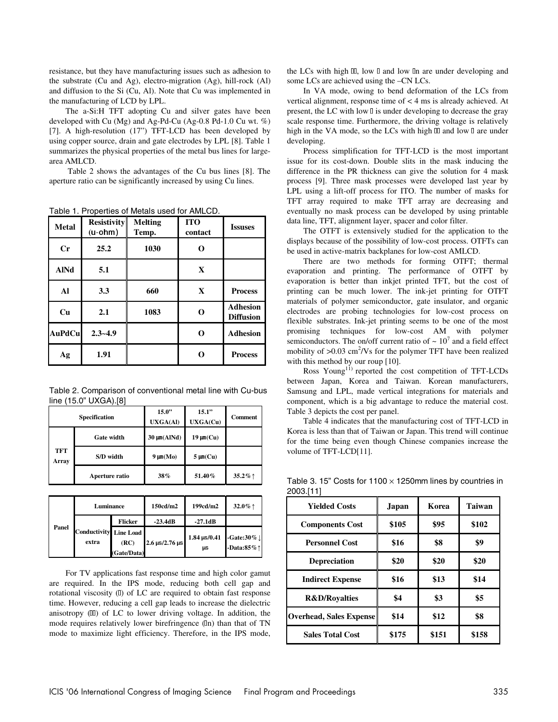resistance, but they have manufacturing issues such as adhesion to the substrate (Cu and Ag), electro-migration (Ag), hill-rock (Al) and diffusion to the Si (Cu, Al). Note that Cu was implemented in the manufacturing of LCD by LPL.

The a-Si:H TFT adopting Cu and silver gates have been developed with Cu (Mg) and Ag-Pd-Cu (Ag-0.8 Pd-1.0 Cu wt. %) [7]. A high-resolution (17") TFT-LCD has been developed by using copper source, drain and gate electrodes by LPL [8]. Table 1 summarizes the physical properties of the metal bus lines for largearea AMLCD.

 Table 2 shows the advantages of the Cu bus lines [8]. The aperture ratio can be significantly increased by using Cu lines.

Table 1. Properties of Metals used for AMLCD.

| <b>Metal</b>  | <b>Resistivity</b><br>$(u$ -ohm $)$ | <b>Melting</b><br>Temp. | <b>ITO</b><br>contact | <b>Issuses</b>                      |
|---------------|-------------------------------------|-------------------------|-----------------------|-------------------------------------|
| Cr            | 25.2                                | 1030                    | O                     |                                     |
| <b>AINd</b>   | 5.1                                 |                         | $\mathbf{X}$          |                                     |
| Al            | 3.3                                 | 660                     | $\mathbf{X}$          | <b>Process</b>                      |
| Cu            | 2.1                                 | 1083                    | O                     | <b>Adhesion</b><br><b>Diffusion</b> |
| <b>AuPdCu</b> | $2.3 - 4.9$                         |                         | O                     | <b>Adhesion</b>                     |
| Ag            | 1.91                                |                         | O                     | <b>Process</b>                      |

Table 2. Comparison of conventional metal line with Cu-bus line (15.0" UXGA).[8]

| <b>Specification</b> |                   | 15.0"<br><b>UXGA(Al)</b> | 15.1"<br>UXGA(Cu) | Comment          |
|----------------------|-------------------|--------------------------|-------------------|------------------|
|                      | <b>Gate width</b> | $30 \mu m(AINd)$         | $19 \mu m(Cu)$    |                  |
| TFT<br>Array         | S/D width         | $9 \mu m(Mo)$            | $5 \mu m(Cu)$     |                  |
|                      | Aperture ratio    | 38%                      | 51.40%            | 35.2% $\uparrow$ |

| Luminance                                |                |                     | 150cd/m2                   | 199cd/m2                             | 32.0% $\uparrow$                               |
|------------------------------------------|----------------|---------------------|----------------------------|--------------------------------------|------------------------------------------------|
| Panel<br>Conductivity Line Load<br>extra | <b>Flicker</b> | $-23.4dB$           | $-27.1dB$                  |                                      |                                                |
|                                          |                | (RC)<br>(Gate/Data) | $2.6 \,\mu s/2.76 \,\mu s$ | $1.84 \,\mathrm{\mu s} / 0.41$<br>μs | -Gate:30% $\downarrow$<br>-Data:85% $\uparrow$ |

For TV applications fast response time and high color gamut are required. In the IPS mode, reducing both cell gap and rotational viscosity (I) of LC are required to obtain fast response time. However, reducing a cell gap leads to increase the dielectric anisotropy  $(III)$  of LC to lower driving voltage. In addition, the mode requires relatively lower birefringence ( $\ln$ ) than that of TN mode to maximize light efficiency. Therefore, in the IPS mode, the LCs with high  $III$ , low  $I$  and low  $In$  are under developing and some LCs are achieved using the –CN LCs.

In VA mode, owing to bend deformation of the LCs from vertical alignment, response time of < 4 ms is already achieved. At present, the LC with low  $\mathbb I$  is under developing to decrease the gray scale response time. Furthermore, the driving voltage is relatively high in the VA mode, so the LCs with high  $\Box$  and low  $\Box$  are under developing.

Process simplification for TFT-LCD is the most important issue for its cost-down. Double slits in the mask inducing the difference in the PR thickness can give the solution for 4 mask process [9]. Three mask processes were developed last year by LPL using a lift-off process for ITO. The number of masks for TFT array required to make TFT array are decreasing and eventually no mask process can be developed by using printable data line, TFT, alignment layer, spacer and color filter.

The OTFT is extensively studied for the application to the displays because of the possibility of low-cost process. OTFTs can be used in active-matrix backplanes for low-cost AMLCD.

There are two methods for forming OTFT; thermal evaporation and printing. The performance of OTFT by evaporation is better than inkjet printed TFT, but the cost of printing can be much lower. The ink-jet printing for OTFT materials of polymer semiconductor, gate insulator, and organic electrodes are probing technologies for low-cost process on flexible substrates. Ink-jet printing seems to be one of the most promising techniques for low-cost AM with polymer semiconductors. The on/off current ratio of  $\sim 10^7$  and a field effect mobility of  $>0.03$  cm<sup>2</sup>/Vs for the polymer TFT have been realized with this method by our roup [10].

Ross Young<sup>11)</sup> reported the cost competition of TFT-LCDs between Japan, Korea and Taiwan. Korean manufacturers, Samsung and LPL, made vertical integrations for materials and component, which is a big advantage to reduce the material cost. Table 3 depicts the cost per panel.

Table 4 indicates that the manufacturing cost of TFT-LCD in Korea is less than that of Taiwan or Japan. This trend will continue for the time being even though Chinese companies increase the volume of TFT-LCD[11].

| <b>Yielded Costs</b>           | Japan | Korea | <b>Taiwan</b> |
|--------------------------------|-------|-------|---------------|
| <b>Components Cost</b>         | \$105 | \$95  | \$102         |
| <b>Personnel Cost</b>          | \$16  | \$8   | \$9           |
| <b>Depreciation</b>            | \$20  | \$20  | \$20          |
| <b>Indirect Expense</b>        | \$16  | \$13  | \$14          |
| <b>R&amp;D/Royalties</b>       | \$4   | \$3   | \$5           |
| <b>Overhead, Sales Expense</b> | \$14  | \$12  | \$8           |
| <b>Sales Total Cost</b>        | \$175 | \$151 | \$158         |

Table 3. 15" Costs for  $1100 \times 1250$  mm lines by countries in 2003.[11]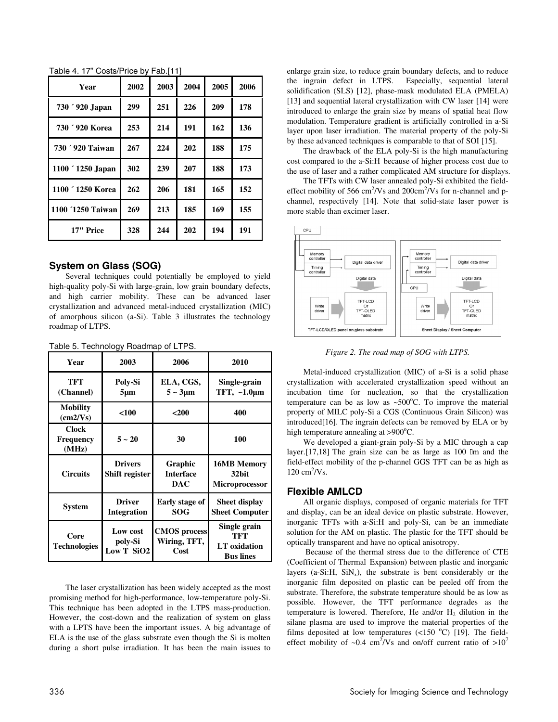| Year              | 2002 | 2003 | 2004 | 2005 | 2006 |
|-------------------|------|------|------|------|------|
| 730 '920 Japan    | 299  | 251  | 226  | 209  | 178  |
| 730 '920 Korea    | 253  | 214  | 191  | 162  | 136  |
| 730 ' 920 Taiwan  | 267  | 224  | 202  | 188  | 175  |
| 1100 ' 1250 Japan | 302  | 239  | 207  | 188  | 173  |
| 1100 ' 1250 Korea | 262  | 206  | 181  | 165  | 152  |
| 1100 '1250 Taiwan | 269  | 213  | 185  | 169  | 155  |
| 17" Price         | 328  | 244  | 202  | 194  | 191  |

Table 4. 17" Costs/Price by Fab.[11]

# **System on Glass (SOG)**

Several techniques could potentially be employed to yield high-quality poly-Si with large-grain, low grain boundary defects, and high carrier mobility. These can be advanced laser crystallization and advanced metal-induced crystallization (MIC) of amorphous silicon (a-Si). Table 3 illustrates the technology roadmap of LTPS.

| Year                                 | 2003                                | 2006                                        | 2010                                                           |
|--------------------------------------|-------------------------------------|---------------------------------------------|----------------------------------------------------------------|
| <b>TFT</b><br>(Channel)              | Poly-Si<br>$5 \mu m$                | ELA, CGS,<br>$5 \sim 3 \mu m$               | Single-grain<br>TFT, $\sim$ 1.0 $\mu$ m                        |
| <b>Mobility</b><br>$\text{(cm2/Vs)}$ | < 100                               | $200$                                       | 400                                                            |
| <b>Clock</b><br>Frequency<br>(MHz)   | $5 - 20$                            | 30                                          | 100                                                            |
| <b>Circuits</b>                      | <b>Drivers</b><br>Shift register    | Graphic<br><b>Interface</b><br><b>DAC</b>   | <b>16MB Memory</b><br>32bit<br><b>Microprocessor</b>           |
| <b>System</b>                        | <b>Driver</b><br><b>Integration</b> | Early stage of<br><b>SOG</b>                | <b>Sheet display</b><br><b>Sheet Computer</b>                  |
| Core<br><b>Technologies</b>          | Low cost<br>poly-Si<br>Low T SiO2   | <b>CMOS</b> process<br>Wiring, TFT,<br>Cost | Single grain<br><b>TFT</b><br>LT oxidation<br><b>Bus lines</b> |

The laser crystallization has been widely accepted as the most promising method for high-performance, low-temperature poly-Si. This technique has been adopted in the LTPS mass-production. However, the cost-down and the realization of system on glass with a LPTS have been the important issues. A big advantage of ELA is the use of the glass substrate even though the Si is molten during a short pulse irradiation. It has been the main issues to enlarge grain size, to reduce grain boundary defects, and to reduce the ingrain defect in LTPS. Especially, sequential lateral solidification (SLS) [12], phase-mask modulated ELA (PMELA) [13] and sequential lateral crystallization with CW laser [14] were introduced to enlarge the grain size by means of spatial heat flow modulation. Temperature gradient is artificially controlled in a-Si layer upon laser irradiation. The material property of the poly-Si by these advanced techniques is comparable to that of SOI [15].

The drawback of the ELA poly-Si is the high manufacturing cost compared to the a-Si:H because of higher process cost due to the use of laser and a rather complicated AM structure for displays.

The TFTs with CW laser annealed poly-Si exhibited the fieldeffect mobility of 566 cm<sup>2</sup>/Vs and 200cm<sup>2</sup>/Vs for n-channel and pchannel, respectively [14]. Note that solid-state laser power is more stable than excimer laser.



*Figure 2. The road map of SOG with LTPS.* 

Metal-induced crystallization (MIC) of a-Si is a solid phase crystallization with accelerated crystallization speed without an incubation time for nucleation, so that the crystallization temperature can be as low as  $\sim 500^{\circ}$ C. To improve the material property of MILC poly-Si a CGS (Continuous Grain Silicon) was introduced[16]. The ingrain defects can be removed by ELA or by high temperature annealing at >900°C.

We developed a giant-grain poly-Si by a MIC through a cap layer.[17,18] The grain size can be as large as 100 lm and the field-effect mobility of the p-channel GGS TFT can be as high as  $120 \text{ cm}^2/\text{Vs}.$ 

# **Flexible AMLCD**

All organic displays, composed of organic materials for TFT and display, can be an ideal device on plastic substrate. However, inorganic TFTs with a-Si:H and poly-Si, can be an immediate solution for the AM on plastic. The plastic for the TFT should be optically transparent and have no optical anisotropy.

 Because of the thermal stress due to the difference of CTE (Coefficient of Thermal Expansion) between plastic and inorganic layers (a-Si:H,  $\text{SiN}_x$ ), the substrate is bent considerably or the inorganic film deposited on plastic can be peeled off from the substrate. Therefore, the substrate temperature should be as low as possible. However, the TFT performance degrades as the temperature is lowered. Therefore, He and/or  $H_2$  dilution in the silane plasma are used to improve the material properties of the films deposited at low temperatures  $\left($  <150 °C) [19]. The fieldeffect mobility of ~0.4 cm<sup>2</sup>/Vs and on/off current ratio of >10<sup>7</sup>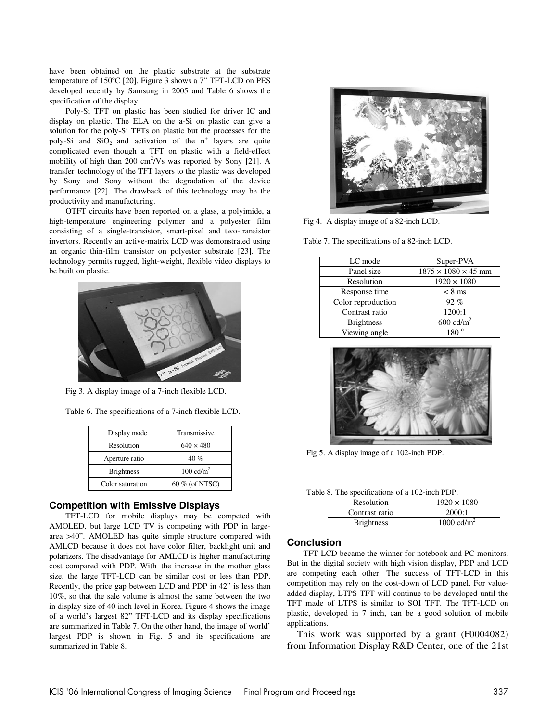have been obtained on the plastic substrate at the substrate temperature of 150°C [20]. Figure 3 shows a 7" TFT-LCD on PES developed recently by Samsung in 2005 and Table 6 shows the specification of the display.

Poly-Si TFT on plastic has been studied for driver IC and display on plastic. The ELA on the a-Si on plastic can give a solution for the poly-Si TFTs on plastic but the processes for the poly-Si and  $SiO<sub>2</sub>$  and activation of the  $n^+$  layers are quite complicated even though a TFT on plastic with a field-effect mobility of high than 200  $\text{cm}^2/\text{Vs}$  was reported by Sony [21]. A transfer technology of the TFT layers to the plastic was developed by Sony and Sony without the degradation of the device performance [22]. The drawback of this technology may be the productivity and manufacturing.

OTFT circuits have been reported on a glass, a polyimide, a high-temperature engineering polymer and a polyester film consisting of a single-transistor, smart-pixel and two-transistor invertors. Recently an active-matrix LCD was demonstrated using an organic thin-film transistor on polyester substrate [23]. The technology permits rugged, light-weight, flexible video displays to be built on plastic.



Fig 3. A display image of a 7-inch flexible LCD.

Table 6. The specifications of a 7-inch flexible LCD.

| Display mode      | Transmissive         |  |
|-------------------|----------------------|--|
| Resolution        | $640 \times 480$     |  |
| Aperture ratio    | 40%                  |  |
| <b>Brightness</b> | $100 \text{ cd/m}^2$ |  |
| Color saturation  | 60 % (of NTSC)       |  |

### **Competition with Emissive Displays**

TFT-LCD for mobile displays may be competed with AMOLED, but large LCD TV is competing with PDP in largearea >40". AMOLED has quite simple structure compared with AMLCD because it does not have color filter, backlight unit and polarizers. The disadvantage for AMLCD is higher manufacturing cost compared with PDP. With the increase in the mother glass size, the large TFT-LCD can be similar cost or less than PDP. Recently, the price gap between LCD and PDP in 42" is less than 10%, so that the sale volume is almost the same between the two in display size of 40 inch level in Korea. Figure 4 shows the image of a world's largest 82" TFT-LCD and its display specifications are summarized in Table 7. On the other hand, the image of world' largest PDP is shown in Fig. 5 and its specifications are summarized in Table 8.



Fig 4. A display image of a 82-inch LCD.

Table 7. The specifications of a 82-inch LCD.

| LC mode            | Super-PVA                       |
|--------------------|---------------------------------|
| Panel size         | $1875 \times 1080 \times 45$ mm |
| Resolution         | $1920 \times 1080$              |
| Response time      | $< 8$ ms                        |
| Color reproduction | $92\%$                          |
| Contrast ratio     | 1200:1                          |
| <b>Brightness</b>  | $600 \text{ cd/m}^2$            |
| Viewing angle      | $180^{\circ}$                   |
|                    |                                 |



Fig 5. A display image of a 102-inch PDP.

Table 8. The specifications of a 102-inch PDP.

| <b>Resolution</b> | $1920 \times 1080$   |  |
|-------------------|----------------------|--|
| Contrast ratio    | 2000:1               |  |
| <b>Brightness</b> | 1000 $\text{cd/m}^2$ |  |

#### **Conclusion**

TFT-LCD became the winner for notebook and PC monitors. But in the digital society with high vision display, PDP and LCD are competing each other. The success of TFT-LCD in this competition may rely on the cost-down of LCD panel. For valueadded display, LTPS TFT will continue to be developed until the TFT made of LTPS is similar to SOI TFT. The TFT-LCD on plastic, developed in 7 inch, can be a good solution of mobile applications.

This work was supported by a grant (F0004082) from Information Display R&D Center, one of the 21st